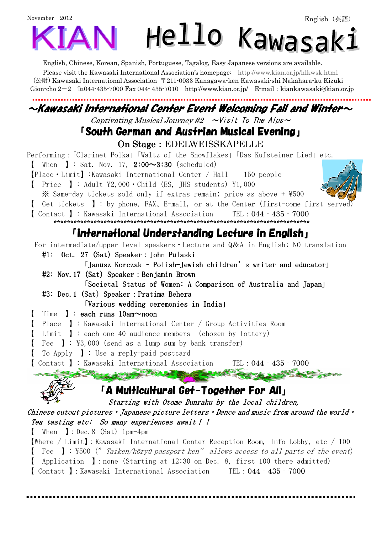# November 2012 Hello Kawasaki

English, Chinese, Korean, Spanish, Portuguese, Tagalog, Easy Japanese versions are available.

Please visit the Kawasaki International Association's homepage: http://www.kian.or.jp/hlkwsk.html (公財) Kawasaki International Association 〒211-0033 Kanagawa-ken Kawasaki-shi Nakahara-ku Kizuki Gion-cho 2-2 ℡044-435-7000 Fax 044- 435-7010 http://www.kian.or.jp/ E-mail:kiankawasaki@kian.or.jp

### $\sim$ Kawasaki International Center Event Welcoming Fall and Winter $\sim$

Captivating Musical Journey #2  $\sim$ Visit To The Alps $\sim$ 

## 「South German and Austrian Musical Evening」

On Stage: EDELWEISSKAPELLE

Performing:「Clarinet Polka」「Waltz of the Snowflakes」「Das Kufsteiner Lied」etc.

**[** When **]**: Sat. Nov. 17,  $2:00 \sim 3:30$  (scheduled)

【Place・Limit】:Kawasaki International Center / Hall 150 people

[ Price ]: Adult  $\overline{2}$ ,000 · Child (ES, JHS students)  $\overline{2}$ 1,000

 $\%$  Same-day tickets sold only if extras remain; price as above +  $\frac{1500}{200}$ 

Get tickets  $\mathbf{I}:$  by phone, FAX, E-mail, or at the Center (first-come first served)

- 【 Contact 】: Kawasaki International Association TEL:044‐435‐7000
	- \*\*\*\*\*\*\*\*\*\*\*\*\*\*\*\*\*\*\*\*\*\*\*\*\*\*\*\*\*\*\*\*\*\*\*\*\*\*\*\*\*\*\*\*\*\*\*\*\*\*\*\*\*\*\*\*\*\*\*\*\*\*\*\*\*\*\*\*\*\*\*\*\*\*\*\*\*

#### $\mathsf I$ international Understanding Lecture in English  $\mathsf I$

For intermediate/upper level speakers • Lecture and Q&A in English; NO translation  $#1:$  Oct. 27 (Sat) Speaker: John Pulaski

「Janusz Korczak - Polish-Jewish children's writer and educator」

 $\#2$ : Nov.17 (Sat) Speaker: Benjamin Brown

「Societal Status of Women: A Comparison of Australia and Japan」

#3: Dec.1 (Sat) Speaker: Pratima Behera

「Various wedding ceremonies in India」

 $\blacksquare$  Time  $\blacksquare$ : each runs 10am $\sim$ noon

【 Place 】: Kawasaki International Center / Group Activities Room

【 Limit 】: each one 40 audience members (chosen by lottery)

【 Fee 】: \3,000(send as a lump sum by bank transfer)

【 To Apply 】: Use a reply-paid postcard

【 Contact 】: Kawasaki International Association TEL:044‐435‐7000

### 「A Multicultural Get-Together For All」

Starting with Otome Bunraku by the local children,

Chinese cutout pictures • Japanese picture letters • Dance and music from around the world  $\cdot$ Tea tasting etc: So many experiences await!!

【 When 】:Dec.8 (Sat) 1pm-4pm

【Where / Limit】:Kawasaki International Center Reception Room, Info Lobby, etc / 100  $\blacksquare$  Fee  $\blacksquare$ : \\\\\\\\\ Taiken/kōryū passport ken" allows access to all parts of the event) Application  $\vert$ : none (Starting at 12:30 on Dec. 8, first 100 there admitted)

【 Contact 】:Kawasaki International Association TEL:044‐435‐7000